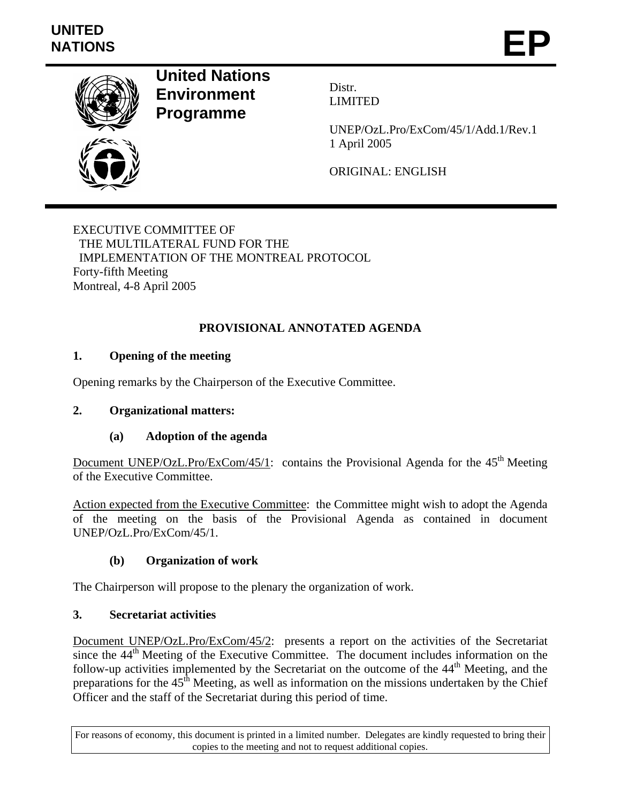

**United Nations Environment Programme** 

Distr. LIMITED

UNEP/OzL.Pro/ExCom/45/1/Add.1/Rev.1 1 April 2005

ORIGINAL: ENGLISH

EXECUTIVE COMMITTEE OF THE MULTILATERAL FUND FOR THE IMPLEMENTATION OF THE MONTREAL PROTOCOL Forty-fifth Meeting Montreal, 4-8 April 2005

# **PROVISIONAL ANNOTATED AGENDA**

# **1. Opening of the meeting**

Opening remarks by the Chairperson of the Executive Committee.

## **2. Organizational matters:**

## **(a) Adoption of the agenda**

Document UNEP/OzL.Pro/ExCom/45/1: contains the Provisional Agenda for the  $45<sup>th</sup>$  Meeting of the Executive Committee.

Action expected from the Executive Committee: the Committee might wish to adopt the Agenda of the meeting on the basis of the Provisional Agenda as contained in document UNEP/OzL.Pro/ExCom/45/1.

## **(b) Organization of work**

The Chairperson will propose to the plenary the organization of work.

## **3. Secretariat activities**

Document UNEP/OzL.Pro/ExCom/45/2: presents a report on the activities of the Secretariat since the  $44<sup>th</sup>$  Meeting of the Executive Committee. The document includes information on the follow-up activities implemented by the Secretariat on the outcome of the  $44<sup>th</sup>$  Meeting, and the preparations for the  $45<sup>th</sup>$  Meeting, as well as information on the missions undertaken by the Chief Officer and the staff of the Secretariat during this period of time.

For reasons of economy, this document is printed in a limited number. Delegates are kindly requested to bring their copies to the meeting and not to request additional copies.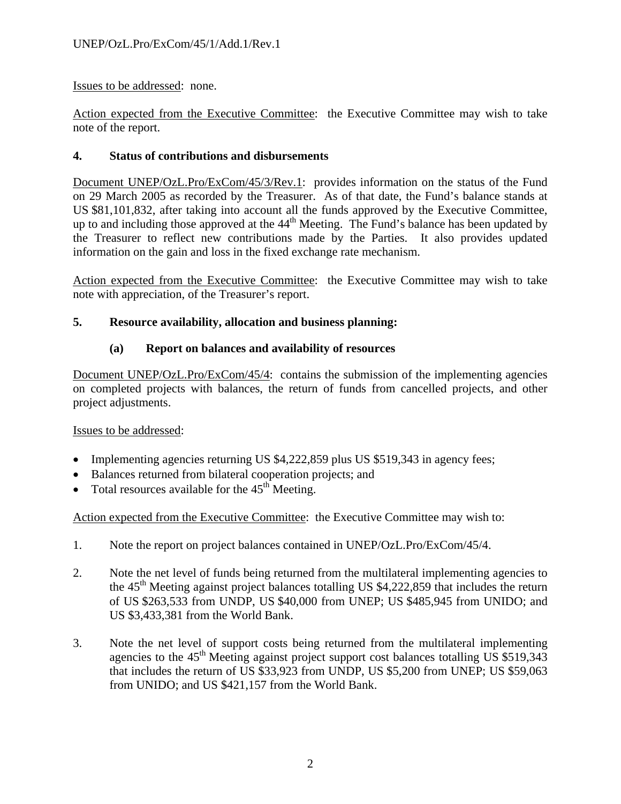Issues to be addressed: none.

Action expected from the Executive Committee: the Executive Committee may wish to take note of the report.

# **4. Status of contributions and disbursements**

Document UNEP/OzL.Pro/ExCom/45/3/Rev.1: provides information on the status of the Fund on 29 March 2005 as recorded by the Treasurer. As of that date, the Fund's balance stands at US \$81,101,832, after taking into account all the funds approved by the Executive Committee, up to and including those approved at the  $44<sup>th</sup>$  Meeting. The Fund's balance has been updated by the Treasurer to reflect new contributions made by the Parties. It also provides updated information on the gain and loss in the fixed exchange rate mechanism.

Action expected from the Executive Committee: the Executive Committee may wish to take note with appreciation, of the Treasurer's report.

# **5. Resource availability, allocation and business planning:**

# **(a) Report on balances and availability of resources**

Document UNEP/OzL.Pro/ExCom/45/4: contains the submission of the implementing agencies on completed projects with balances, the return of funds from cancelled projects, and other project adjustments.

## Issues to be addressed:

- Implementing agencies returning US \$4,222,859 plus US \$519,343 in agency fees;
- Balances returned from bilateral cooperation projects; and
- Total resources available for the  $45<sup>th</sup>$  Meeting.

Action expected from the Executive Committee: the Executive Committee may wish to:

- 1. Note the report on project balances contained in UNEP/OzL.Pro/ExCom/45/4.
- 2. Note the net level of funds being returned from the multilateral implementing agencies to the  $45<sup>th</sup>$  Meeting against project balances totalling US \$4,222,859 that includes the return of US \$263,533 from UNDP, US \$40,000 from UNEP; US \$485,945 from UNIDO; and US \$3,433,381 from the World Bank.
- 3. Note the net level of support costs being returned from the multilateral implementing agencies to the  $45<sup>th</sup>$  Meeting against project support cost balances totalling US \$519,343 that includes the return of US \$33,923 from UNDP, US \$5,200 from UNEP; US \$59,063 from UNIDO; and US \$421,157 from the World Bank.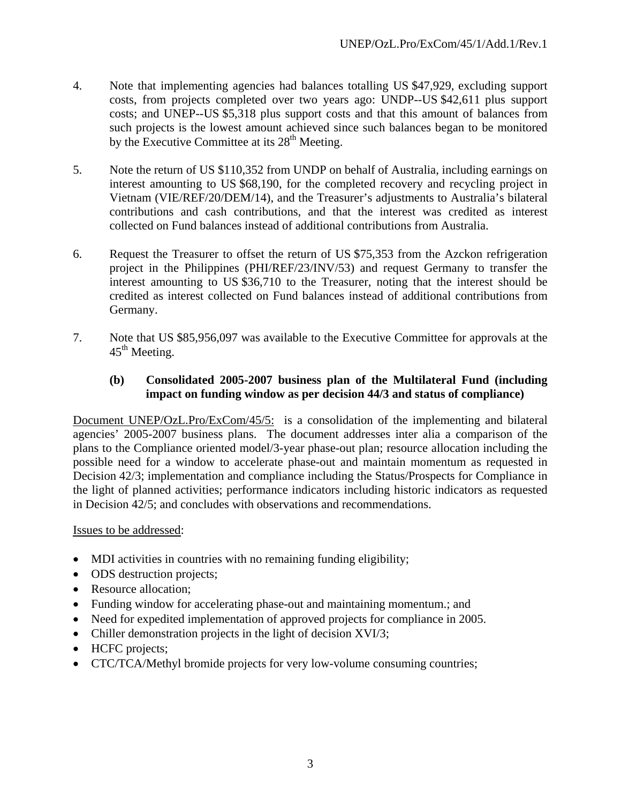- 4. Note that implementing agencies had balances totalling US \$47,929, excluding support costs, from projects completed over two years ago: UNDP--US \$42,611 plus support costs; and UNEP--US \$5,318 plus support costs and that this amount of balances from such projects is the lowest amount achieved since such balances began to be monitored by the Executive Committee at its 28<sup>th</sup> Meeting.
- 5. Note the return of US \$110,352 from UNDP on behalf of Australia, including earnings on interest amounting to US \$68,190, for the completed recovery and recycling project in Vietnam (VIE/REF/20/DEM/14), and the Treasurer's adjustments to Australia's bilateral contributions and cash contributions, and that the interest was credited as interest collected on Fund balances instead of additional contributions from Australia.
- 6. Request the Treasurer to offset the return of US \$75,353 from the Azckon refrigeration project in the Philippines (PHI/REF/23/INV/53) and request Germany to transfer the interest amounting to US \$36,710 to the Treasurer, noting that the interest should be credited as interest collected on Fund balances instead of additional contributions from Germany.
- 7. Note that US \$85,956,097 was available to the Executive Committee for approvals at the  $45<sup>th</sup>$  Meeting.

## **(b) Consolidated 2005-2007 business plan of the Multilateral Fund (including impact on funding window as per decision 44/3 and status of compliance)**

Document UNEP/OzL.Pro/ExCom/45/5: is a consolidation of the implementing and bilateral agencies' 2005-2007 business plans. The document addresses inter alia a comparison of the plans to the Compliance oriented model/3-year phase-out plan; resource allocation including the possible need for a window to accelerate phase-out and maintain momentum as requested in Decision 42/3; implementation and compliance including the Status/Prospects for Compliance in the light of planned activities; performance indicators including historic indicators as requested in Decision 42/5; and concludes with observations and recommendations.

- MDI activities in countries with no remaining funding eligibility;
- ODS destruction projects;
- Resource allocation:
- Funding window for accelerating phase-out and maintaining momentum.; and
- Need for expedited implementation of approved projects for compliance in 2005.
- Chiller demonstration projects in the light of decision XVI/3;
- HCFC projects;
- CTC/TCA/Methyl bromide projects for very low-volume consuming countries;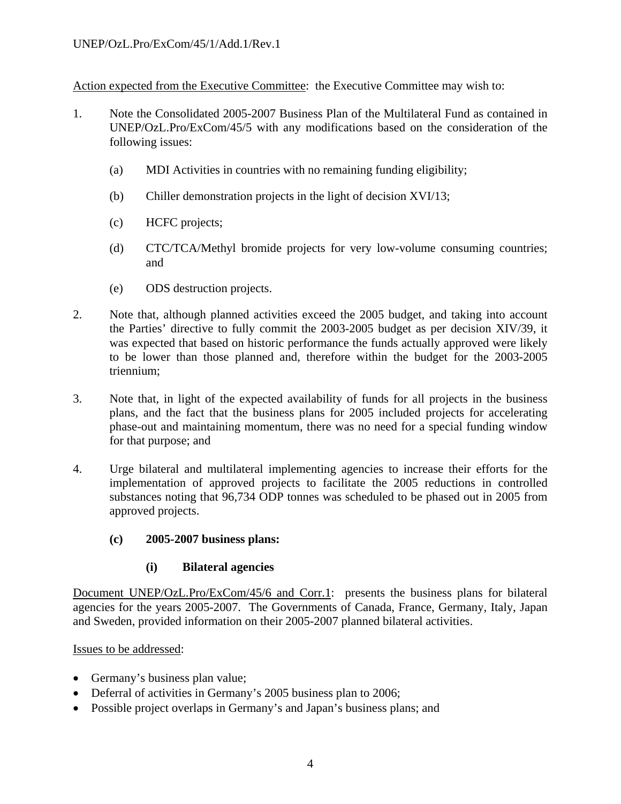Action expected from the Executive Committee: the Executive Committee may wish to:

- 1. Note the Consolidated 2005-2007 Business Plan of the Multilateral Fund as contained in UNEP/OzL.Pro/ExCom/45/5 with any modifications based on the consideration of the following issues:
	- (a) MDI Activities in countries with no remaining funding eligibility;
	- (b) Chiller demonstration projects in the light of decision XVI/13;
	- (c) HCFC projects;
	- (d) CTC/TCA/Methyl bromide projects for very low-volume consuming countries; and
	- (e) ODS destruction projects.
- 2. Note that, although planned activities exceed the 2005 budget, and taking into account the Parties' directive to fully commit the 2003-2005 budget as per decision XIV/39, it was expected that based on historic performance the funds actually approved were likely to be lower than those planned and, therefore within the budget for the 2003-2005 triennium;
- 3. Note that, in light of the expected availability of funds for all projects in the business plans, and the fact that the business plans for 2005 included projects for accelerating phase-out and maintaining momentum, there was no need for a special funding window for that purpose; and
- 4. Urge bilateral and multilateral implementing agencies to increase their efforts for the implementation of approved projects to facilitate the 2005 reductions in controlled substances noting that 96,734 ODP tonnes was scheduled to be phased out in 2005 from approved projects.
	- **(c) 2005-2007 business plans:**

#### **(i) Bilateral agencies**

Document UNEP/OzL.Pro/ExCom/45/6 and Corr.1: presents the business plans for bilateral agencies for the years 2005-2007. The Governments of Canada, France, Germany, Italy, Japan and Sweden, provided information on their 2005-2007 planned bilateral activities.

- Germany's business plan value;
- Deferral of activities in Germany's 2005 business plan to 2006;
- Possible project overlaps in Germany's and Japan's business plans; and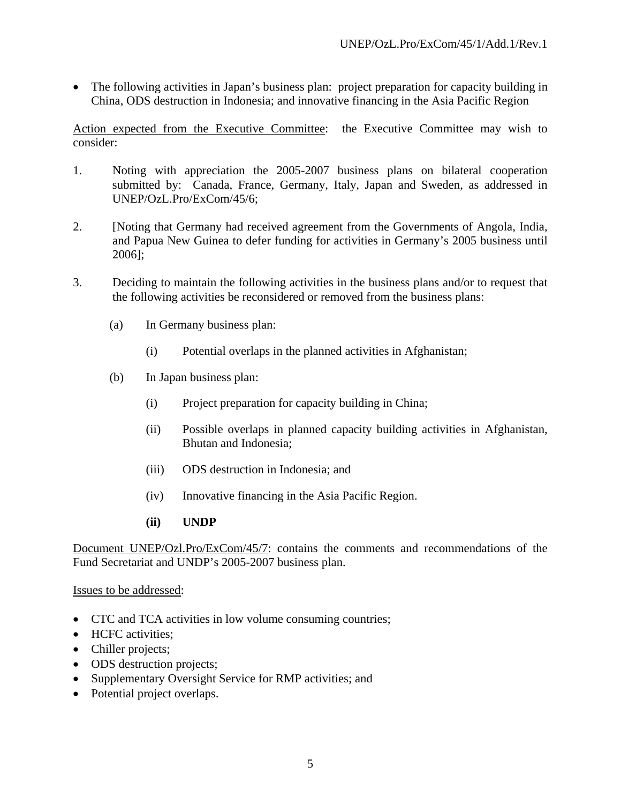• The following activities in Japan's business plan: project preparation for capacity building in China, ODS destruction in Indonesia; and innovative financing in the Asia Pacific Region

Action expected from the Executive Committee: the Executive Committee may wish to consider:

- 1. Noting with appreciation the 2005-2007 business plans on bilateral cooperation submitted by: Canada, France, Germany, Italy, Japan and Sweden, as addressed in UNEP/OzL.Pro/ExCom/45/6;
- 2. [Noting that Germany had received agreement from the Governments of Angola, India, and Papua New Guinea to defer funding for activities in Germany's 2005 business until 2006];
- 3. Deciding to maintain the following activities in the business plans and/or to request that the following activities be reconsidered or removed from the business plans:
	- (a) In Germany business plan:
		- (i) Potential overlaps in the planned activities in Afghanistan;
	- (b) In Japan business plan:
		- (i) Project preparation for capacity building in China;
		- (ii) Possible overlaps in planned capacity building activities in Afghanistan, Bhutan and Indonesia;
		- (iii) ODS destruction in Indonesia; and
		- (iv) Innovative financing in the Asia Pacific Region.
		- **(ii) UNDP**

Document UNEP/Ozl.Pro/ExCom/45/7: contains the comments and recommendations of the Fund Secretariat and UNDP's 2005-2007 business plan.

- CTC and TCA activities in low volume consuming countries;
- HCFC activities;
- Chiller projects;
- ODS destruction projects;
- Supplementary Oversight Service for RMP activities; and
- Potential project overlaps.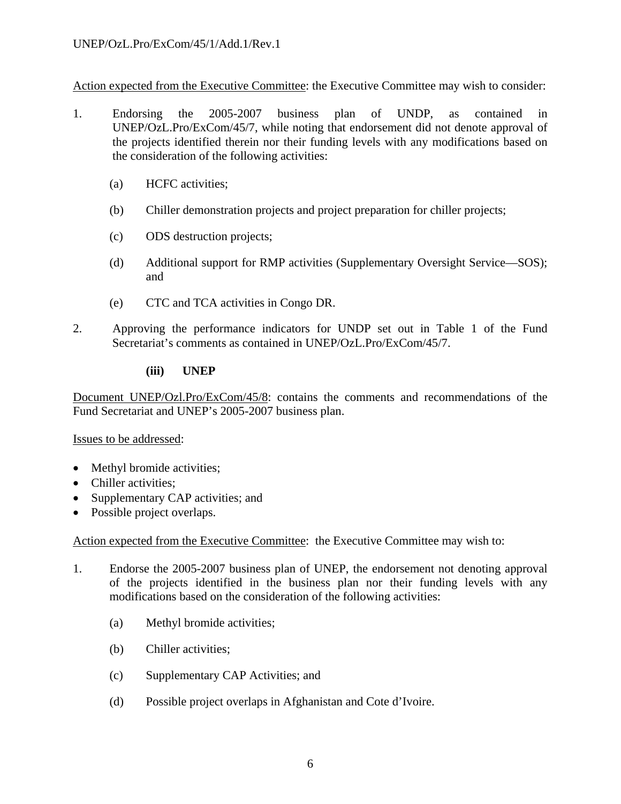Action expected from the Executive Committee: the Executive Committee may wish to consider:

- 1. Endorsing the 2005-2007 business plan of UNDP, as contained in UNEP/OzL.Pro/ExCom/45/7, while noting that endorsement did not denote approval of the projects identified therein nor their funding levels with any modifications based on the consideration of the following activities:
	- (a) HCFC activities;
	- (b) Chiller demonstration projects and project preparation for chiller projects;
	- (c) ODS destruction projects;
	- (d) Additional support for RMP activities (Supplementary Oversight Service—SOS); and
	- (e) CTC and TCA activities in Congo DR.
- 2. Approving the performance indicators for UNDP set out in Table 1 of the Fund Secretariat's comments as contained in UNEP/OzL.Pro/ExCom/45/7.

#### **(iii) UNEP**

Document UNEP/Ozl.Pro/ExCom/45/8: contains the comments and recommendations of the Fund Secretariat and UNEP's 2005-2007 business plan.

Issues to be addressed:

- Methyl bromide activities;
- Chiller activities:
- Supplementary CAP activities; and
- Possible project overlaps.

Action expected from the Executive Committee: the Executive Committee may wish to:

- 1. Endorse the 2005-2007 business plan of UNEP, the endorsement not denoting approval of the projects identified in the business plan nor their funding levels with any modifications based on the consideration of the following activities:
	- (a) Methyl bromide activities;
	- (b) Chiller activities;
	- (c) Supplementary CAP Activities; and
	- (d) Possible project overlaps in Afghanistan and Cote d'Ivoire.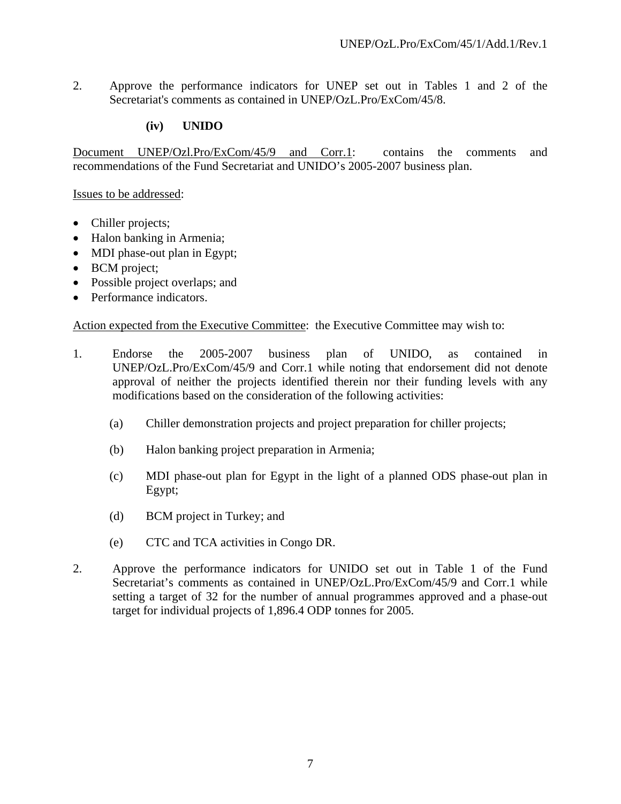2. Approve the performance indicators for UNEP set out in Tables 1 and 2 of the Secretariat's comments as contained in UNEP/OzL.Pro/ExCom/45/8.

## **(iv) UNIDO**

Document UNEP/Ozl.Pro/ExCom/45/9 and Corr.1: contains the comments and recommendations of the Fund Secretariat and UNIDO's 2005-2007 business plan.

#### Issues to be addressed:

- Chiller projects;
- Halon banking in Armenia;
- MDI phase-out plan in Egypt;
- BCM project;
- Possible project overlaps; and
- Performance indicators.

Action expected from the Executive Committee: the Executive Committee may wish to:

- 1. Endorse the 2005-2007 business plan of UNIDO, as contained in UNEP/OzL.Pro/ExCom/45/9 and Corr.1 while noting that endorsement did not denote approval of neither the projects identified therein nor their funding levels with any modifications based on the consideration of the following activities:
	- (a) Chiller demonstration projects and project preparation for chiller projects;
	- (b) Halon banking project preparation in Armenia;
	- (c) MDI phase-out plan for Egypt in the light of a planned ODS phase-out plan in Egypt;
	- (d) BCM project in Turkey; and
	- (e) CTC and TCA activities in Congo DR.
- 2. Approve the performance indicators for UNIDO set out in Table 1 of the Fund Secretariat's comments as contained in UNEP/OzL.Pro/ExCom/45/9 and Corr.1 while setting a target of 32 for the number of annual programmes approved and a phase-out target for individual projects of 1,896.4 ODP tonnes for 2005.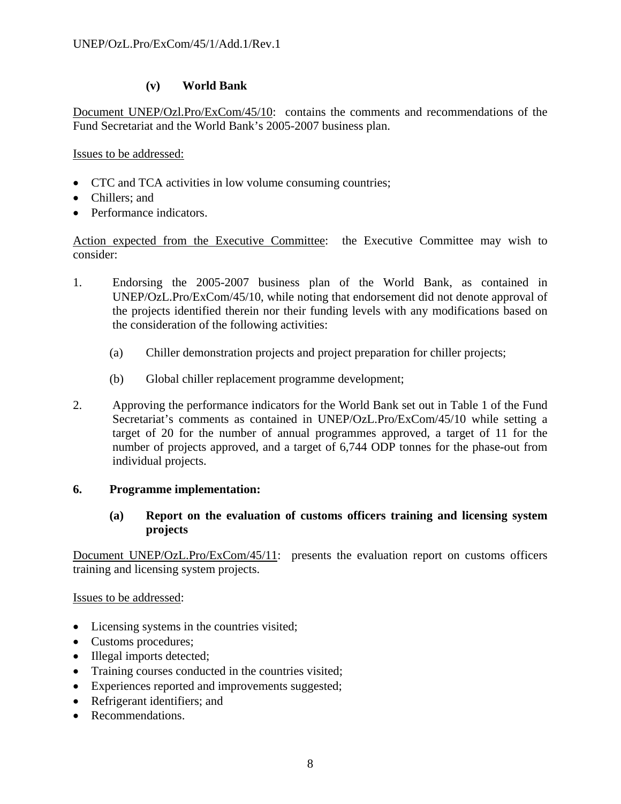## **(v) World Bank**

Document UNEP/Ozl.Pro/ExCom/45/10: contains the comments and recommendations of the Fund Secretariat and the World Bank's 2005-2007 business plan.

Issues to be addressed:

- CTC and TCA activities in low volume consuming countries;
- Chillers: and
- Performance indicators.

Action expected from the Executive Committee: the Executive Committee may wish to consider:

- 1. Endorsing the 2005-2007 business plan of the World Bank, as contained in UNEP/OzL.Pro/ExCom/45/10, while noting that endorsement did not denote approval of the projects identified therein nor their funding levels with any modifications based on the consideration of the following activities:
	- (a) Chiller demonstration projects and project preparation for chiller projects;
	- (b) Global chiller replacement programme development;
- 2. Approving the performance indicators for the World Bank set out in Table 1 of the Fund Secretariat's comments as contained in UNEP/OzL.Pro/ExCom/45/10 while setting a target of 20 for the number of annual programmes approved, a target of 11 for the number of projects approved, and a target of 6,744 ODP tonnes for the phase-out from individual projects.

## **6. Programme implementation:**

## **(a) Report on the evaluation of customs officers training and licensing system projects**

Document UNEP/OzL.Pro/ExCom/45/11: presents the evaluation report on customs officers training and licensing system projects.

- Licensing systems in the countries visited;
- Customs procedures;
- Illegal imports detected;
- Training courses conducted in the countries visited;
- Experiences reported and improvements suggested;
- Refrigerant identifiers: and
- Recommendations.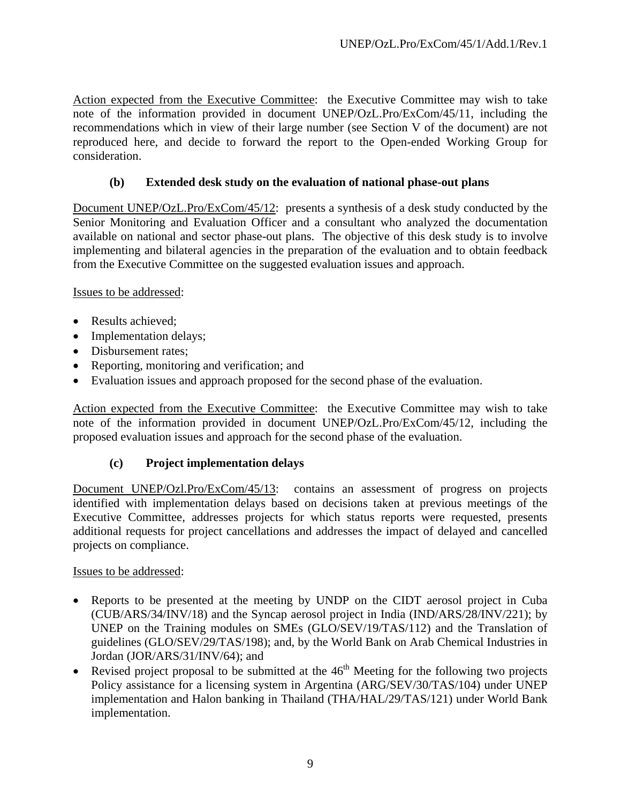Action expected from the Executive Committee: the Executive Committee may wish to take note of the information provided in document UNEP/OzL.Pro/ExCom/45/11, including the recommendations which in view of their large number (see Section V of the document) are not reproduced here, and decide to forward the report to the Open-ended Working Group for consideration.

# **(b) Extended desk study on the evaluation of national phase-out plans**

Document UNEP/OzL.Pro/ExCom/45/12: presents a synthesis of a desk study conducted by the Senior Monitoring and Evaluation Officer and a consultant who analyzed the documentation available on national and sector phase-out plans. The objective of this desk study is to involve implementing and bilateral agencies in the preparation of the evaluation and to obtain feedback from the Executive Committee on the suggested evaluation issues and approach.

Issues to be addressed:

- Results achieved:
- Implementation delays;
- Disbursement rates;
- Reporting, monitoring and verification; and
- Evaluation issues and approach proposed for the second phase of the evaluation.

Action expected from the Executive Committee: the Executive Committee may wish to take note of the information provided in document UNEP/OzL.Pro/ExCom/45/12, including the proposed evaluation issues and approach for the second phase of the evaluation.

## **(c) Project implementation delays**

Document UNEP/Ozl.Pro/ExCom/45/13: contains an assessment of progress on projects identified with implementation delays based on decisions taken at previous meetings of the Executive Committee, addresses projects for which status reports were requested, presents additional requests for project cancellations and addresses the impact of delayed and cancelled projects on compliance.

- Reports to be presented at the meeting by UNDP on the CIDT aerosol project in Cuba (CUB/ARS/34/INV/18) and the Syncap aerosol project in India (IND/ARS/28/INV/221); by UNEP on the Training modules on SMEs (GLO/SEV/19/TAS/112) and the Translation of guidelines (GLO/SEV/29/TAS/198); and, by the World Bank on Arab Chemical Industries in Jordan (JOR/ARS/31/INV/64); and
- Revised project proposal to be submitted at the  $46<sup>th</sup>$  Meeting for the following two projects Policy assistance for a licensing system in Argentina (ARG/SEV/30/TAS/104) under UNEP implementation and Halon banking in Thailand (THA/HAL/29/TAS/121) under World Bank implementation.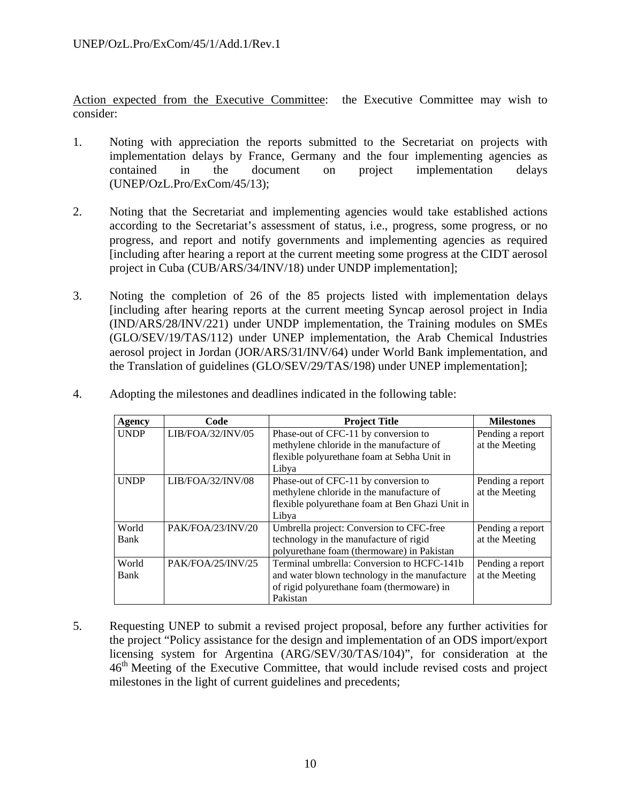Action expected from the Executive Committee: the Executive Committee may wish to consider:

- 1. Noting with appreciation the reports submitted to the Secretariat on projects with implementation delays by France, Germany and the four implementing agencies as contained in the document on project implementation delays (UNEP/OzL.Pro/ExCom/45/13);
- 2. Noting that the Secretariat and implementing agencies would take established actions according to the Secretariat's assessment of status, i.e., progress, some progress, or no progress, and report and notify governments and implementing agencies as required [including after hearing a report at the current meeting some progress at the CIDT aerosol project in Cuba (CUB/ARS/34/INV/18) under UNDP implementation];
- 3. Noting the completion of 26 of the 85 projects listed with implementation delays [including after hearing reports at the current meeting Syncap aerosol project in India (IND/ARS/28/INV/221) under UNDP implementation, the Training modules on SMEs (GLO/SEV/19/TAS/112) under UNEP implementation, the Arab Chemical Industries aerosol project in Jordan (JOR/ARS/31/INV/64) under World Bank implementation, and the Translation of guidelines (GLO/SEV/29/TAS/198) under UNEP implementation];

| Agency      | Code              | <b>Project Title</b>                            | <b>Milestones</b> |
|-------------|-------------------|-------------------------------------------------|-------------------|
| <b>UNDP</b> | LIB/FOA/32/INV/05 | Phase-out of CFC-11 by conversion to            | Pending a report  |
|             |                   | methylene chloride in the manufacture of        | at the Meeting    |
|             |                   | flexible polyurethane foam at Sebha Unit in     |                   |
|             |                   | Libya                                           |                   |
| <b>UNDP</b> | LIB/FOA/32/INV/08 | Phase-out of CFC-11 by conversion to            | Pending a report  |
|             |                   | methylene chloride in the manufacture of        | at the Meeting    |
|             |                   | flexible polyurethane foam at Ben Ghazi Unit in |                   |
|             |                   | Libya                                           |                   |
| World       | PAK/FOA/23/INV/20 | Umbrella project: Conversion to CFC-free        | Pending a report  |
| Bank        |                   | technology in the manufacture of rigid          | at the Meeting    |
|             |                   | polyurethane foam (thermoware) in Pakistan      |                   |
| World       | PAK/FOA/25/INV/25 | Terminal umbrella: Conversion to HCFC-141b      | Pending a report  |
| Bank        |                   | and water blown technology in the manufacture   | at the Meeting    |
|             |                   | of rigid polyurethane foam (thermoware) in      |                   |
|             |                   | Pakistan                                        |                   |

4. Adopting the milestones and deadlines indicated in the following table:

5. Requesting UNEP to submit a revised project proposal, before any further activities for the project "Policy assistance for the design and implementation of an ODS import/export licensing system for Argentina (ARG/SEV/30/TAS/104)", for consideration at the  $46<sup>th</sup>$  Meeting of the Executive Committee, that would include revised costs and project milestones in the light of current guidelines and precedents;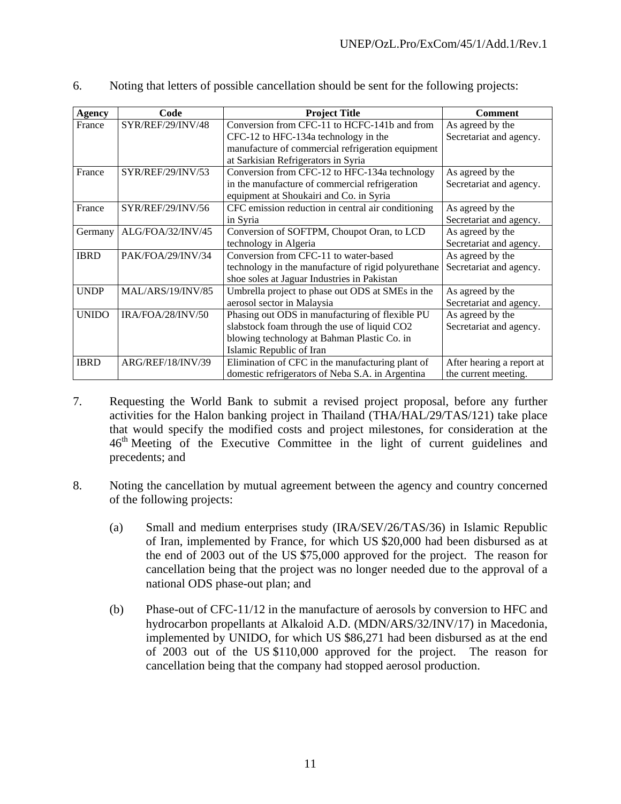| <b>Agency</b> | Code              | <b>Project Title</b>                                | <b>Comment</b>            |
|---------------|-------------------|-----------------------------------------------------|---------------------------|
| France        | SYR/REF/29/INV/48 | Conversion from CFC-11 to HCFC-141b and from        | As agreed by the          |
|               |                   | CFC-12 to HFC-134a technology in the                | Secretariat and agency.   |
|               |                   | manufacture of commercial refrigeration equipment   |                           |
|               |                   | at Sarkisian Refrigerators in Syria                 |                           |
| France        | SYR/REF/29/INV/53 | Conversion from CFC-12 to HFC-134a technology       | As agreed by the          |
|               |                   | in the manufacture of commercial refrigeration      | Secretariat and agency.   |
|               |                   | equipment at Shoukairi and Co. in Syria             |                           |
| France        | SYR/REF/29/INV/56 | CFC emission reduction in central air conditioning  | As agreed by the          |
|               |                   | in Syria                                            | Secretariat and agency.   |
| Germany       | ALG/FOA/32/INV/45 | Conversion of SOFTPM, Choupot Oran, to LCD          | As agreed by the          |
|               |                   | technology in Algeria                               | Secretariat and agency.   |
| <b>IBRD</b>   | PAK/FOA/29/INV/34 | Conversion from CFC-11 to water-based               | As agreed by the          |
|               |                   | technology in the manufacture of rigid polyurethane | Secretariat and agency.   |
|               |                   | shoe soles at Jaguar Industries in Pakistan         |                           |
| <b>UNDP</b>   | MAL/ARS/19/INV/85 | Umbrella project to phase out ODS at SMEs in the    | As agreed by the          |
|               |                   | aerosol sector in Malaysia                          | Secretariat and agency.   |
| <b>UNIDO</b>  | IRA/FOA/28/INV/50 | Phasing out ODS in manufacturing of flexible PU     | As agreed by the          |
|               |                   | slabstock foam through the use of liquid CO2        | Secretariat and agency.   |
|               |                   | blowing technology at Bahman Plastic Co. in         |                           |
|               |                   | Islamic Republic of Iran                            |                           |
| <b>IBRD</b>   | ARG/REF/18/INV/39 | Elimination of CFC in the manufacturing plant of    | After hearing a report at |
|               |                   | domestic refrigerators of Neba S.A. in Argentina    | the current meeting.      |

6. Noting that letters of possible cancellation should be sent for the following projects:

- 7. Requesting the World Bank to submit a revised project proposal, before any further activities for the Halon banking project in Thailand (THA/HAL/29/TAS/121) take place that would specify the modified costs and project milestones, for consideration at the 46<sup>th</sup> Meeting of the Executive Committee in the light of current guidelines and precedents; and
- 8. Noting the cancellation by mutual agreement between the agency and country concerned of the following projects:
	- (a) Small and medium enterprises study (IRA/SEV/26/TAS/36) in Islamic Republic of Iran, implemented by France, for which US \$20,000 had been disbursed as at the end of 2003 out of the US \$75,000 approved for the project. The reason for cancellation being that the project was no longer needed due to the approval of a national ODS phase-out plan; and
	- (b) Phase-out of CFC-11/12 in the manufacture of aerosols by conversion to HFC and hydrocarbon propellants at Alkaloid A.D. (MDN/ARS/32/INV/17) in Macedonia, implemented by UNIDO, for which US \$86,271 had been disbursed as at the end of 2003 out of the US \$110,000 approved for the project. The reason for cancellation being that the company had stopped aerosol production.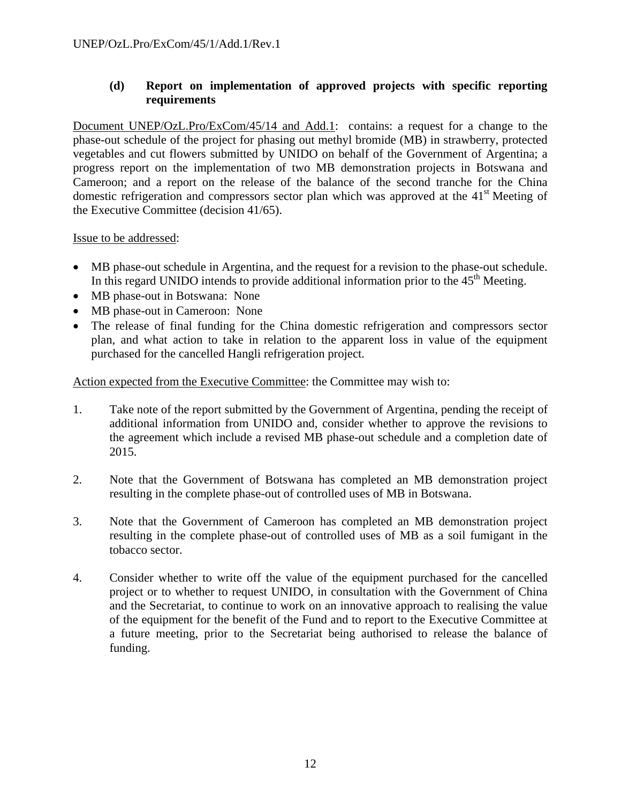## **(d) Report on implementation of approved projects with specific reporting requirements**

Document UNEP/OzL.Pro/ExCom/45/14 and Add.1: contains: a request for a change to the phase-out schedule of the project for phasing out methyl bromide (MB) in strawberry, protected vegetables and cut flowers submitted by UNIDO on behalf of the Government of Argentina; a progress report on the implementation of two MB demonstration projects in Botswana and Cameroon; and a report on the release of the balance of the second tranche for the China domestic refrigeration and compressors sector plan which was approved at the 41<sup>st</sup> Meeting of the Executive Committee (decision 41/65).

#### Issue to be addressed:

- MB phase-out schedule in Argentina, and the request for a revision to the phase-out schedule. In this regard UNIDO intends to provide additional information prior to the  $45<sup>th</sup>$  Meeting.
- MB phase-out in Botswana: None
- MB phase-out in Cameroon: None
- The release of final funding for the China domestic refrigeration and compressors sector plan, and what action to take in relation to the apparent loss in value of the equipment purchased for the cancelled Hangli refrigeration project.

Action expected from the Executive Committee: the Committee may wish to:

- 1. Take note of the report submitted by the Government of Argentina, pending the receipt of additional information from UNIDO and, consider whether to approve the revisions to the agreement which include a revised MB phase-out schedule and a completion date of 2015.
- 2. Note that the Government of Botswana has completed an MB demonstration project resulting in the complete phase-out of controlled uses of MB in Botswana.
- 3. Note that the Government of Cameroon has completed an MB demonstration project resulting in the complete phase-out of controlled uses of MB as a soil fumigant in the tobacco sector.
- 4. Consider whether to write off the value of the equipment purchased for the cancelled project or to whether to request UNIDO, in consultation with the Government of China and the Secretariat, to continue to work on an innovative approach to realising the value of the equipment for the benefit of the Fund and to report to the Executive Committee at a future meeting, prior to the Secretariat being authorised to release the balance of funding.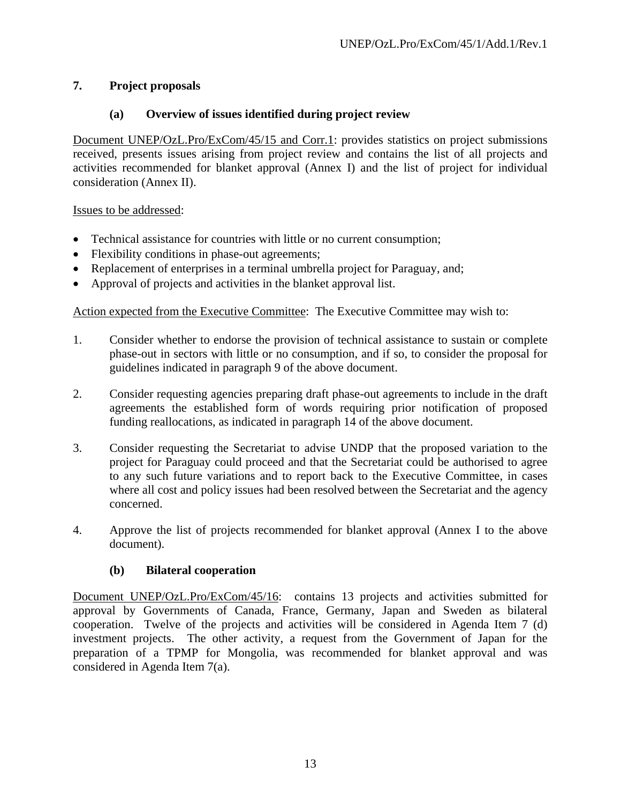# **7. Project proposals**

## **(a) Overview of issues identified during project review**

Document UNEP/OzL.Pro/ExCom/45/15 and Corr.1: provides statistics on project submissions received, presents issues arising from project review and contains the list of all projects and activities recommended for blanket approval (Annex I) and the list of project for individual consideration (Annex II).

Issues to be addressed:

- Technical assistance for countries with little or no current consumption;
- Flexibility conditions in phase-out agreements;
- Replacement of enterprises in a terminal umbrella project for Paraguay, and;
- Approval of projects and activities in the blanket approval list.

Action expected from the Executive Committee: The Executive Committee may wish to:

- 1. Consider whether to endorse the provision of technical assistance to sustain or complete phase-out in sectors with little or no consumption, and if so, to consider the proposal for guidelines indicated in paragraph 9 of the above document.
- 2. Consider requesting agencies preparing draft phase-out agreements to include in the draft agreements the established form of words requiring prior notification of proposed funding reallocations, as indicated in paragraph 14 of the above document.
- 3. Consider requesting the Secretariat to advise UNDP that the proposed variation to the project for Paraguay could proceed and that the Secretariat could be authorised to agree to any such future variations and to report back to the Executive Committee, in cases where all cost and policy issues had been resolved between the Secretariat and the agency concerned.
- 4. Approve the list of projects recommended for blanket approval (Annex I to the above document).

## **(b) Bilateral cooperation**

Document UNEP/OzL.Pro/ExCom/45/16: contains 13 projects and activities submitted for approval by Governments of Canada, France, Germany, Japan and Sweden as bilateral cooperation. Twelve of the projects and activities will be considered in Agenda Item 7 (d) investment projects. The other activity, a request from the Government of Japan for the preparation of a TPMP for Mongolia, was recommended for blanket approval and was considered in Agenda Item 7(a).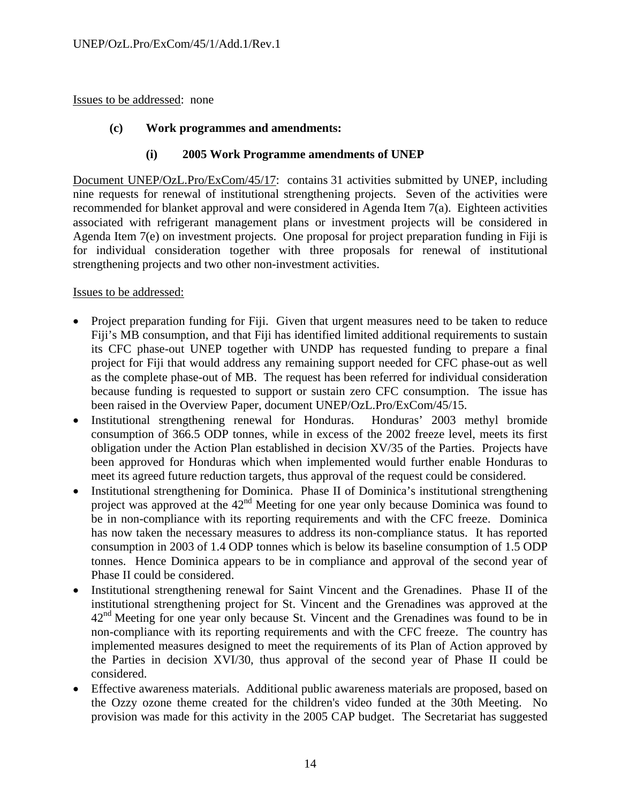Issues to be addressed: none

#### **(c) Work programmes and amendments:**

#### **(i) 2005 Work Programme amendments of UNEP**

Document UNEP/OzL.Pro/ExCom/45/17: contains 31 activities submitted by UNEP, including nine requests for renewal of institutional strengthening projects. Seven of the activities were recommended for blanket approval and were considered in Agenda Item 7(a). Eighteen activities associated with refrigerant management plans or investment projects will be considered in Agenda Item 7(e) on investment projects. One proposal for project preparation funding in Fiji is for individual consideration together with three proposals for renewal of institutional strengthening projects and two other non-investment activities.

- Project preparation funding for Fiji. Given that urgent measures need to be taken to reduce Fiji's MB consumption, and that Fiji has identified limited additional requirements to sustain its CFC phase-out UNEP together with UNDP has requested funding to prepare a final project for Fiji that would address any remaining support needed for CFC phase-out as well as the complete phase-out of MB. The request has been referred for individual consideration because funding is requested to support or sustain zero CFC consumption. The issue has been raised in the Overview Paper, document UNEP/OzL.Pro/ExCom/45/15.
- Institutional strengthening renewal for Honduras. Honduras' 2003 methyl bromide consumption of 366.5 ODP tonnes, while in excess of the 2002 freeze level, meets its first obligation under the Action Plan established in decision XV/35 of the Parties. Projects have been approved for Honduras which when implemented would further enable Honduras to meet its agreed future reduction targets, thus approval of the request could be considered.
- Institutional strengthening for Dominica. Phase II of Dominica's institutional strengthening project was approved at the  $42<sup>nd</sup>$  Meeting for one year only because Dominica was found to be in non-compliance with its reporting requirements and with the CFC freeze. Dominica has now taken the necessary measures to address its non-compliance status. It has reported consumption in 2003 of 1.4 ODP tonnes which is below its baseline consumption of 1.5 ODP tonnes. Hence Dominica appears to be in compliance and approval of the second year of Phase II could be considered.
- Institutional strengthening renewal for Saint Vincent and the Grenadines. Phase II of the institutional strengthening project for St. Vincent and the Grenadines was approved at the  $42<sup>nd</sup>$  Meeting for one year only because St. Vincent and the Grenadines was found to be in non-compliance with its reporting requirements and with the CFC freeze. The country has implemented measures designed to meet the requirements of its Plan of Action approved by the Parties in decision XVI/30, thus approval of the second year of Phase II could be considered.
- Effective awareness materials. Additional public awareness materials are proposed, based on the Ozzy ozone theme created for the children's video funded at the 30th Meeting. No provision was made for this activity in the 2005 CAP budget. The Secretariat has suggested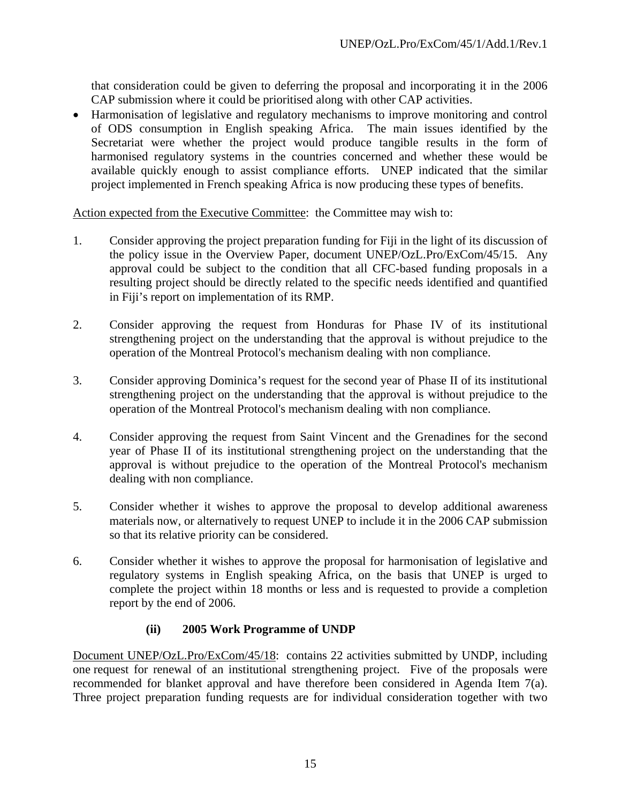that consideration could be given to deferring the proposal and incorporating it in the 2006 CAP submission where it could be prioritised along with other CAP activities.

• Harmonisation of legislative and regulatory mechanisms to improve monitoring and control of ODS consumption in English speaking Africa. The main issues identified by the Secretariat were whether the project would produce tangible results in the form of harmonised regulatory systems in the countries concerned and whether these would be available quickly enough to assist compliance efforts. UNEP indicated that the similar project implemented in French speaking Africa is now producing these types of benefits.

Action expected from the Executive Committee: the Committee may wish to:

- 1. Consider approving the project preparation funding for Fiji in the light of its discussion of the policy issue in the Overview Paper, document UNEP/OzL.Pro/ExCom/45/15. Any approval could be subject to the condition that all CFC-based funding proposals in a resulting project should be directly related to the specific needs identified and quantified in Fiji's report on implementation of its RMP.
- 2. Consider approving the request from Honduras for Phase IV of its institutional strengthening project on the understanding that the approval is without prejudice to the operation of the Montreal Protocol's mechanism dealing with non compliance.
- 3. Consider approving Dominica's request for the second year of Phase II of its institutional strengthening project on the understanding that the approval is without prejudice to the operation of the Montreal Protocol's mechanism dealing with non compliance.
- 4. Consider approving the request from Saint Vincent and the Grenadines for the second year of Phase II of its institutional strengthening project on the understanding that the approval is without prejudice to the operation of the Montreal Protocol's mechanism dealing with non compliance.
- 5. Consider whether it wishes to approve the proposal to develop additional awareness materials now, or alternatively to request UNEP to include it in the 2006 CAP submission so that its relative priority can be considered.
- 6. Consider whether it wishes to approve the proposal for harmonisation of legislative and regulatory systems in English speaking Africa, on the basis that UNEP is urged to complete the project within 18 months or less and is requested to provide a completion report by the end of 2006.

## **(ii) 2005 Work Programme of UNDP**

Document UNEP/OzL.Pro/ExCom/45/18: contains 22 activities submitted by UNDP, including one request for renewal of an institutional strengthening project. Five of the proposals were recommended for blanket approval and have therefore been considered in Agenda Item 7(a). Three project preparation funding requests are for individual consideration together with two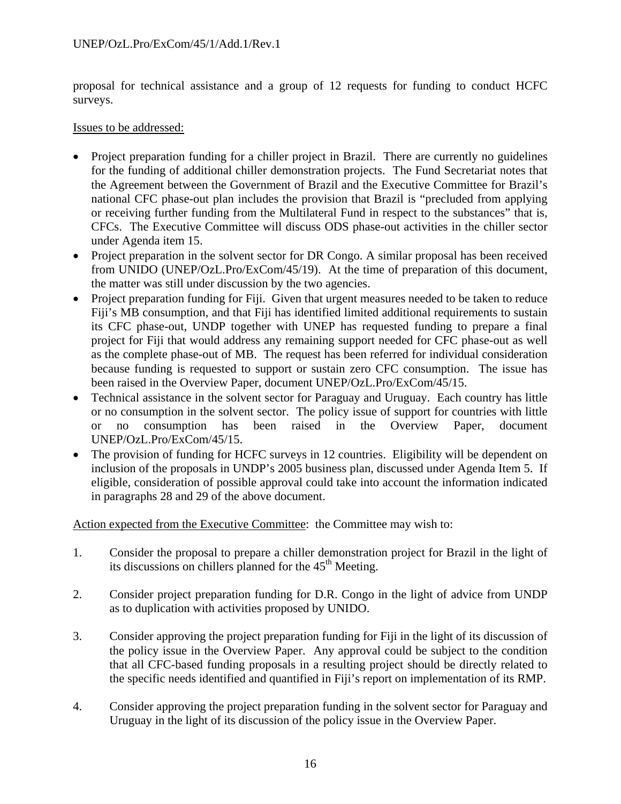proposal for technical assistance and a group of 12 requests for funding to conduct HCFC surveys.

#### Issues to be addressed:

- Project preparation funding for a chiller project in Brazil. There are currently no guidelines for the funding of additional chiller demonstration projects. The Fund Secretariat notes that the Agreement between the Government of Brazil and the Executive Committee for Brazil's national CFC phase-out plan includes the provision that Brazil is "precluded from applying or receiving further funding from the Multilateral Fund in respect to the substances" that is, CFCs. The Executive Committee will discuss ODS phase-out activities in the chiller sector under Agenda item 15.
- Project preparation in the solvent sector for DR Congo. A similar proposal has been received from UNIDO (UNEP/OzL.Pro/ExCom/45/19). At the time of preparation of this document, the matter was still under discussion by the two agencies.
- Project preparation funding for Fiji. Given that urgent measures needed to be taken to reduce Fiji's MB consumption, and that Fiji has identified limited additional requirements to sustain its CFC phase-out, UNDP together with UNEP has requested funding to prepare a final project for Fiji that would address any remaining support needed for CFC phase-out as well as the complete phase-out of MB. The request has been referred for individual consideration because funding is requested to support or sustain zero CFC consumption. The issue has been raised in the Overview Paper, document UNEP/OzL.Pro/ExCom/45/15.
- Technical assistance in the solvent sector for Paraguay and Uruguay. Each country has little or no consumption in the solvent sector. The policy issue of support for countries with little or no consumption has been raised in the Overview Paper, document UNEP/OzL.Pro/ExCom/45/15.
- The provision of funding for HCFC surveys in 12 countries. Eligibility will be dependent on inclusion of the proposals in UNDP's 2005 business plan, discussed under Agenda Item 5. If eligible, consideration of possible approval could take into account the information indicated in paragraphs 28 and 29 of the above document.

Action expected from the Executive Committee: the Committee may wish to:

- 1. Consider the proposal to prepare a chiller demonstration project for Brazil in the light of its discussions on chillers planned for the  $45<sup>th</sup>$  Meeting.
- 2. Consider project preparation funding for D.R. Congo in the light of advice from UNDP as to duplication with activities proposed by UNIDO.
- 3. Consider approving the project preparation funding for Fiji in the light of its discussion of the policy issue in the Overview Paper. Any approval could be subject to the condition that all CFC-based funding proposals in a resulting project should be directly related to the specific needs identified and quantified in Fiji's report on implementation of its RMP.
- 4. Consider approving the project preparation funding in the solvent sector for Paraguay and Uruguay in the light of its discussion of the policy issue in the Overview Paper.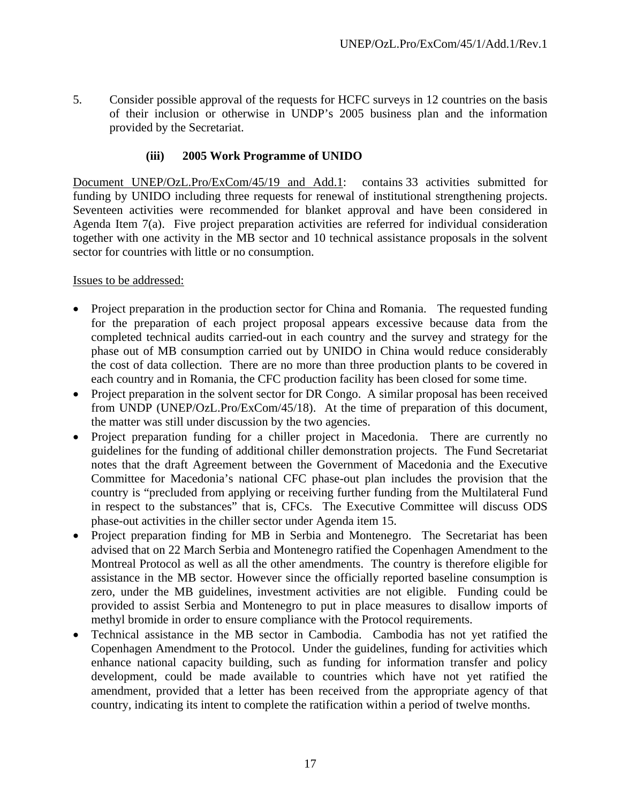5. Consider possible approval of the requests for HCFC surveys in 12 countries on the basis of their inclusion or otherwise in UNDP's 2005 business plan and the information provided by the Secretariat.

# **(iii) 2005 Work Programme of UNIDO**

Document UNEP/OzL.Pro/ExCom/45/19 and Add.1: contains 33 activities submitted for funding by UNIDO including three requests for renewal of institutional strengthening projects. Seventeen activities were recommended for blanket approval and have been considered in Agenda Item 7(a). Five project preparation activities are referred for individual consideration together with one activity in the MB sector and 10 technical assistance proposals in the solvent sector for countries with little or no consumption.

- Project preparation in the production sector for China and Romania. The requested funding for the preparation of each project proposal appears excessive because data from the completed technical audits carried-out in each country and the survey and strategy for the phase out of MB consumption carried out by UNIDO in China would reduce considerably the cost of data collection. There are no more than three production plants to be covered in each country and in Romania, the CFC production facility has been closed for some time.
- Project preparation in the solvent sector for DR Congo. A similar proposal has been received from UNDP (UNEP/OzL.Pro/ExCom/45/18). At the time of preparation of this document, the matter was still under discussion by the two agencies.
- Project preparation funding for a chiller project in Macedonia. There are currently no guidelines for the funding of additional chiller demonstration projects. The Fund Secretariat notes that the draft Agreement between the Government of Macedonia and the Executive Committee for Macedonia's national CFC phase-out plan includes the provision that the country is "precluded from applying or receiving further funding from the Multilateral Fund in respect to the substances" that is, CFCs. The Executive Committee will discuss ODS phase-out activities in the chiller sector under Agenda item 15.
- Project preparation finding for MB in Serbia and Montenegro. The Secretariat has been advised that on 22 March Serbia and Montenegro ratified the Copenhagen Amendment to the Montreal Protocol as well as all the other amendments. The country is therefore eligible for assistance in the MB sector. However since the officially reported baseline consumption is zero, under the MB guidelines, investment activities are not eligible. Funding could be provided to assist Serbia and Montenegro to put in place measures to disallow imports of methyl bromide in order to ensure compliance with the Protocol requirements.
- Technical assistance in the MB sector in Cambodia. Cambodia has not yet ratified the Copenhagen Amendment to the Protocol. Under the guidelines, funding for activities which enhance national capacity building, such as funding for information transfer and policy development, could be made available to countries which have not yet ratified the amendment, provided that a letter has been received from the appropriate agency of that country, indicating its intent to complete the ratification within a period of twelve months.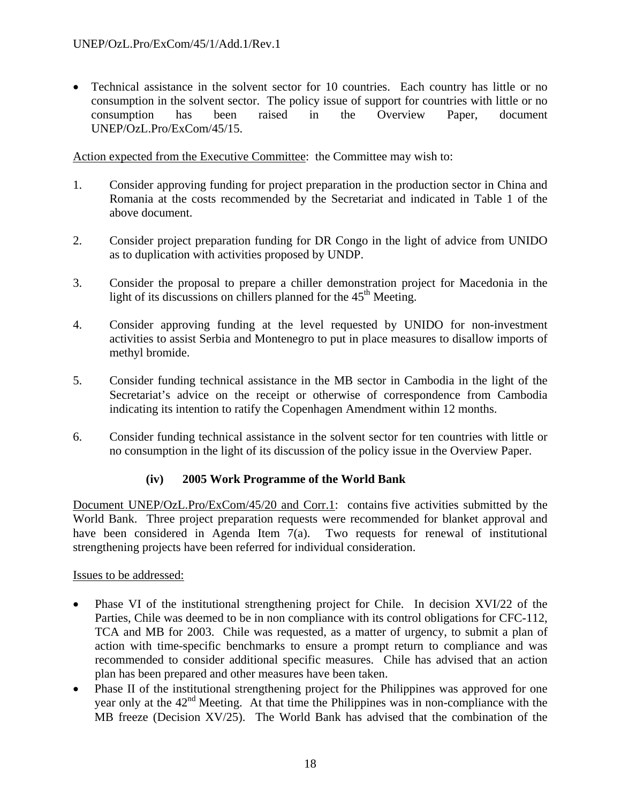• Technical assistance in the solvent sector for 10 countries. Each country has little or no consumption in the solvent sector. The policy issue of support for countries with little or no consumption has been raised in the Overview Paper, document UNEP/OzL.Pro/ExCom/45/15.

Action expected from the Executive Committee: the Committee may wish to:

- 1. Consider approving funding for project preparation in the production sector in China and Romania at the costs recommended by the Secretariat and indicated in Table 1 of the above document.
- 2. Consider project preparation funding for DR Congo in the light of advice from UNIDO as to duplication with activities proposed by UNDP.
- 3. Consider the proposal to prepare a chiller demonstration project for Macedonia in the light of its discussions on chillers planned for the  $45<sup>th</sup>$  Meeting.
- 4. Consider approving funding at the level requested by UNIDO for non-investment activities to assist Serbia and Montenegro to put in place measures to disallow imports of methyl bromide.
- 5. Consider funding technical assistance in the MB sector in Cambodia in the light of the Secretariat's advice on the receipt or otherwise of correspondence from Cambodia indicating its intention to ratify the Copenhagen Amendment within 12 months.
- 6. Consider funding technical assistance in the solvent sector for ten countries with little or no consumption in the light of its discussion of the policy issue in the Overview Paper.

## **(iv) 2005 Work Programme of the World Bank**

Document UNEP/OzL.Pro/ExCom/45/20 and Corr.1: contains five activities submitted by the World Bank. Three project preparation requests were recommended for blanket approval and have been considered in Agenda Item 7(a). Two requests for renewal of institutional strengthening projects have been referred for individual consideration.

- Phase VI of the institutional strengthening project for Chile. In decision XVI/22 of the Parties, Chile was deemed to be in non compliance with its control obligations for CFC-112, TCA and MB for 2003. Chile was requested, as a matter of urgency, to submit a plan of action with time-specific benchmarks to ensure a prompt return to compliance and was recommended to consider additional specific measures. Chile has advised that an action plan has been prepared and other measures have been taken.
- Phase II of the institutional strengthening project for the Philippines was approved for one year only at the  $42<sup>nd</sup>$  Meeting. At that time the Philippines was in non-compliance with the MB freeze (Decision XV/25). The World Bank has advised that the combination of the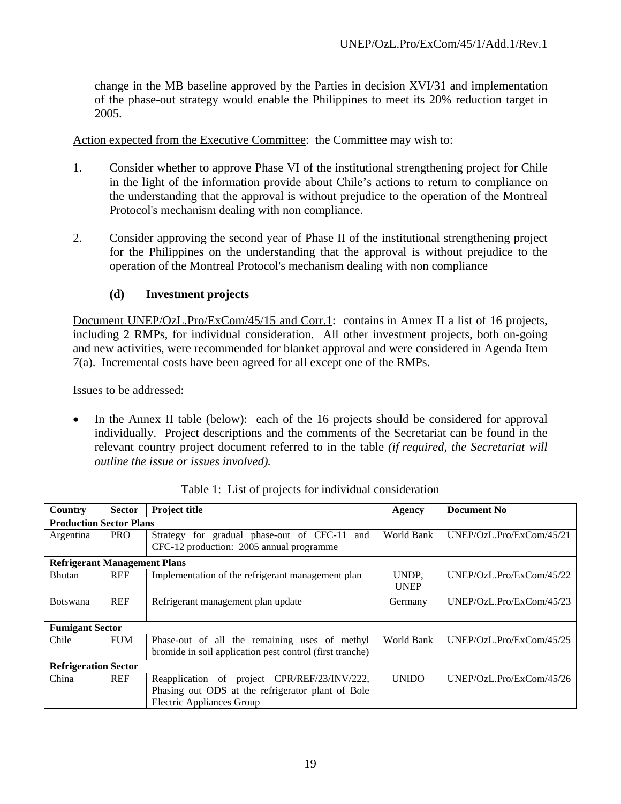change in the MB baseline approved by the Parties in decision XVI/31 and implementation of the phase-out strategy would enable the Philippines to meet its 20% reduction target in 2005.

Action expected from the Executive Committee: the Committee may wish to:

- 1. Consider whether to approve Phase VI of the institutional strengthening project for Chile in the light of the information provide about Chile's actions to return to compliance on the understanding that the approval is without prejudice to the operation of the Montreal Protocol's mechanism dealing with non compliance.
- 2. Consider approving the second year of Phase II of the institutional strengthening project for the Philippines on the understanding that the approval is without prejudice to the operation of the Montreal Protocol's mechanism dealing with non compliance

#### **(d) Investment projects**

Document UNEP/OzL.Pro/ExCom/45/15 and Corr.1: contains in Annex II a list of 16 projects, including 2 RMPs, for individual consideration. All other investment projects, both on-going and new activities, were recommended for blanket approval and were considered in Agenda Item 7(a). Incremental costs have been agreed for all except one of the RMPs.

Issues to be addressed:

In the Annex II table (below): each of the 16 projects should be considered for approval individually. Project descriptions and the comments of the Secretariat can be found in the relevant country project document referred to in the table *(if required, the Secretariat will outline the issue or issues involved).* 

| <b>Country</b>                      | <b>Sector</b> | <b>Project title</b>                                                                                                                  | Agency               | <b>Document No</b>       |  |
|-------------------------------------|---------------|---------------------------------------------------------------------------------------------------------------------------------------|----------------------|--------------------------|--|
| <b>Production Sector Plans</b>      |               |                                                                                                                                       |                      |                          |  |
| Argentina                           | <b>PRO</b>    | Strategy for gradual phase-out of CFC-11<br>and<br>CFC-12 production: 2005 annual programme                                           | World Bank           | UNEP/OzL.Pro/ExCom/45/21 |  |
| <b>Refrigerant Management Plans</b> |               |                                                                                                                                       |                      |                          |  |
| <b>Bhutan</b>                       | <b>REF</b>    | Implementation of the refrigerant management plan                                                                                     | UNDP,<br><b>UNEP</b> | UNEP/OzL.Pro/ExCom/45/22 |  |
| <b>Botswana</b>                     | <b>REF</b>    | Refrigerant management plan update                                                                                                    | Germany              | UNEP/OzL.Pro/ExCom/45/23 |  |
| <b>Fumigant Sector</b>              |               |                                                                                                                                       |                      |                          |  |
| Chile                               | <b>FUM</b>    | Phase-out of all the remaining uses of methyl<br>bromide in soil application pest control (first tranche)                             | World Bank           | UNEP/OzL.Pro/ExCom/45/25 |  |
| <b>Refrigeration Sector</b>         |               |                                                                                                                                       |                      |                          |  |
| China                               | <b>REF</b>    | Reapplication of project CPR/REF/23/INV/222,<br>Phasing out ODS at the refrigerator plant of Bole<br><b>Electric Appliances Group</b> | <b>UNIDO</b>         | UNEP/OzL.Pro/ExCom/45/26 |  |

Table 1: List of projects for individual consideration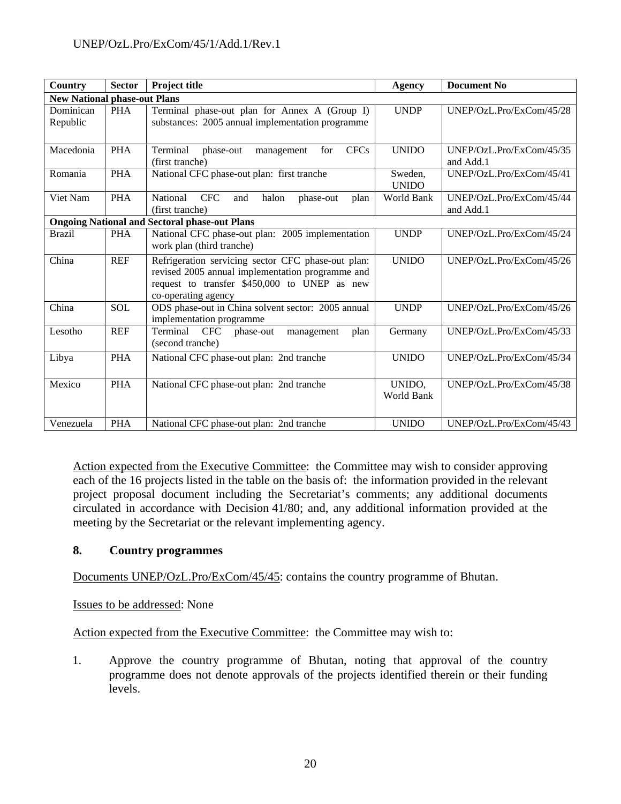| <b>Country</b>                      | <b>Sector</b> | Project title                                                                                                                                                                 | Agency                  | <b>Document No</b>                    |  |
|-------------------------------------|---------------|-------------------------------------------------------------------------------------------------------------------------------------------------------------------------------|-------------------------|---------------------------------------|--|
| <b>New National phase-out Plans</b> |               |                                                                                                                                                                               |                         |                                       |  |
| Dominican<br>Republic               | <b>PHA</b>    | Terminal phase-out plan for Annex A (Group I)<br>substances: 2005 annual implementation programme                                                                             | <b>UNDP</b>             | UNEP/OzL.Pro/ExCom/45/28              |  |
| Macedonia                           | <b>PHA</b>    | <b>CFCs</b><br>Terminal<br>phase-out<br>management<br>for<br>(first tranche)                                                                                                  | <b>UNIDO</b>            | UNEP/OzL.Pro/ExCom/45/35<br>and Add.1 |  |
| Romania                             | <b>PHA</b>    | National CFC phase-out plan: first tranche                                                                                                                                    | Sweden,<br><b>UNIDO</b> | UNEP/OzL.Pro/ExCom/45/41              |  |
| Viet Nam                            | <b>PHA</b>    | National<br><b>CFC</b><br>halon<br>and<br>plan<br>phase-out<br>(first tranche)                                                                                                | World Bank              | UNEP/OzL.Pro/ExCom/45/44<br>and Add.1 |  |
|                                     |               | <b>Ongoing National and Sectoral phase-out Plans</b>                                                                                                                          |                         |                                       |  |
| <b>Brazil</b>                       | <b>PHA</b>    | National CFC phase-out plan: 2005 implementation<br>work plan (third tranche)                                                                                                 | <b>UNDP</b>             | UNEP/OzL.Pro/ExCom/45/24              |  |
| China                               | <b>REF</b>    | Refrigeration servicing sector CFC phase-out plan:<br>revised 2005 annual implementation programme and<br>request to transfer \$450,000 to UNEP as new<br>co-operating agency | <b>UNIDO</b>            | UNEP/OzL.Pro/ExCom/45/26              |  |
| China                               | <b>SOL</b>    | ODS phase-out in China solvent sector: 2005 annual<br>implementation programme                                                                                                | <b>UNDP</b>             | UNEP/OzL.Pro/ExCom/45/26              |  |
| Lesotho                             | <b>REF</b>    | Terminal<br><b>CFC</b><br>plan<br>phase-out<br>management<br>(second tranche)                                                                                                 | Germany                 | UNEP/OzL.Pro/ExCom/45/33              |  |
| Libya                               | <b>PHA</b>    | National CFC phase-out plan: 2nd tranche                                                                                                                                      | <b>UNIDO</b>            | UNEP/OzL.Pro/ExCom/45/34              |  |
| Mexico                              | <b>PHA</b>    | National CFC phase-out plan: 2nd tranche                                                                                                                                      | UNIDO,<br>World Bank    | UNEP/OzL.Pro/ExCom/45/38              |  |
| Venezuela                           | <b>PHA</b>    | National CFC phase-out plan: 2nd tranche                                                                                                                                      | <b>UNIDO</b>            | UNEP/OzL.Pro/ExCom/45/43              |  |

Action expected from the Executive Committee: the Committee may wish to consider approving each of the 16 projects listed in the table on the basis of: the information provided in the relevant project proposal document including the Secretariat's comments; any additional documents circulated in accordance with Decision 41/80; and, any additional information provided at the meeting by the Secretariat or the relevant implementing agency.

## **8. Country programmes**

Documents UNEP/OzL.Pro/ExCom/45/45: contains the country programme of Bhutan.

Issues to be addressed: None

Action expected from the Executive Committee: the Committee may wish to:

1. Approve the country programme of Bhutan, noting that approval of the country programme does not denote approvals of the projects identified therein or their funding levels.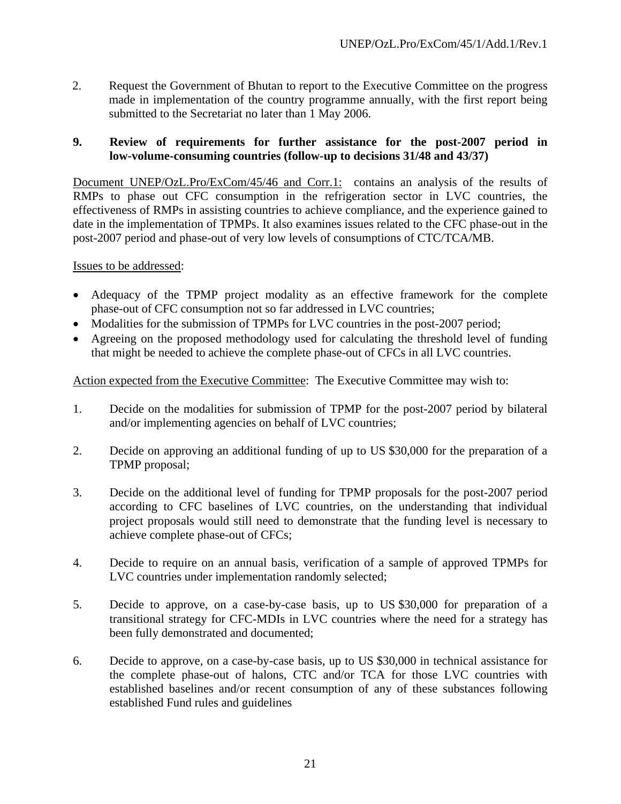2. Request the Government of Bhutan to report to the Executive Committee on the progress made in implementation of the country programme annually, with the first report being submitted to the Secretariat no later than 1 May 2006.

#### **9. Review of requirements for further assistance for the post-2007 period in low-volume-consuming countries (follow-up to decisions 31/48 and 43/37)**

Document UNEP/OzL.Pro/ExCom/45/46 and Corr.1: contains an analysis of the results of RMPs to phase out CFC consumption in the refrigeration sector in LVC countries, the effectiveness of RMPs in assisting countries to achieve compliance, and the experience gained to date in the implementation of TPMPs. It also examines issues related to the CFC phase-out in the post-2007 period and phase-out of very low levels of consumptions of CTC/TCA/MB.

Issues to be addressed:

- Adequacy of the TPMP project modality as an effective framework for the complete phase-out of CFC consumption not so far addressed in LVC countries;
- Modalities for the submission of TPMPs for LVC countries in the post-2007 period;
- Agreeing on the proposed methodology used for calculating the threshold level of funding that might be needed to achieve the complete phase-out of CFCs in all LVC countries.

#### Action expected from the Executive Committee: The Executive Committee may wish to:

- 1. Decide on the modalities for submission of TPMP for the post-2007 period by bilateral and/or implementing agencies on behalf of LVC countries;
- 2. Decide on approving an additional funding of up to US \$30,000 for the preparation of a TPMP proposal;
- 3. Decide on the additional level of funding for TPMP proposals for the post-2007 period according to CFC baselines of LVC countries, on the understanding that individual project proposals would still need to demonstrate that the funding level is necessary to achieve complete phase-out of CFCs;
- 4. Decide to require on an annual basis, verification of a sample of approved TPMPs for LVC countries under implementation randomly selected;
- 5. Decide to approve, on a case-by-case basis, up to US \$30,000 for preparation of a transitional strategy for CFC-MDIs in LVC countries where the need for a strategy has been fully demonstrated and documented;
- 6. Decide to approve, on a case-by-case basis, up to US \$30,000 in technical assistance for the complete phase-out of halons, CTC and/or TCA for those LVC countries with established baselines and/or recent consumption of any of these substances following established Fund rules and guidelines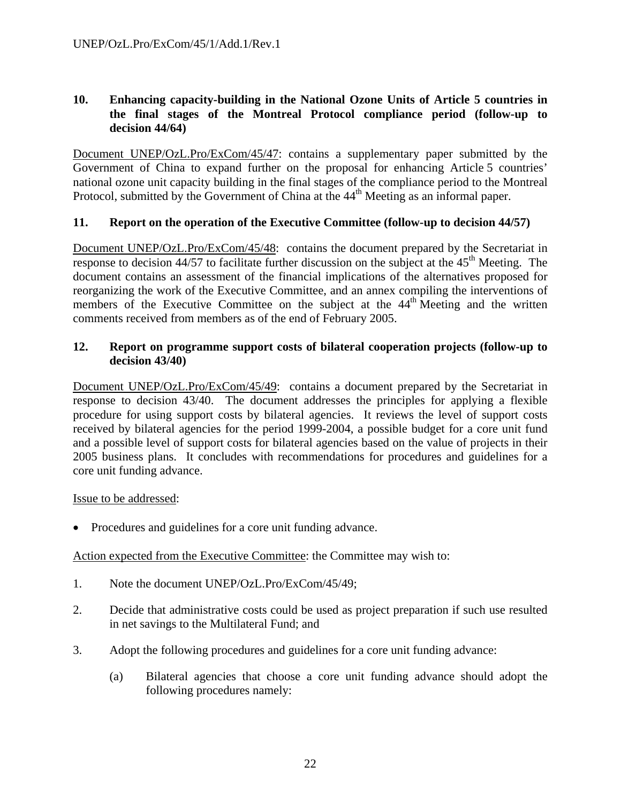## **10. Enhancing capacity-building in the National Ozone Units of Article 5 countries in the final stages of the Montreal Protocol compliance period (follow-up to decision 44/64)**

Document UNEP/OzL.Pro/ExCom/45/47: contains a supplementary paper submitted by the Government of China to expand further on the proposal for enhancing Article 5 countries' national ozone unit capacity building in the final stages of the compliance period to the Montreal Protocol, submitted by the Government of China at the 44<sup>th</sup> Meeting as an informal paper.

## **11. Report on the operation of the Executive Committee (follow-up to decision 44/57)**

Document UNEP/OzL.Pro/ExCom/45/48: contains the document prepared by the Secretariat in response to decision  $44/57$  to facilitate further discussion on the subject at the  $45<sup>th</sup>$  Meeting. The document contains an assessment of the financial implications of the alternatives proposed for reorganizing the work of the Executive Committee, and an annex compiling the interventions of members of the Executive Committee on the subject at the  $44<sup>th</sup>$  Meeting and the written comments received from members as of the end of February 2005.

#### **12. Report on programme support costs of bilateral cooperation projects (follow-up to decision 43/40)**

Document UNEP/OzL.Pro/ExCom/45/49: contains a document prepared by the Secretariat in response to decision 43/40. The document addresses the principles for applying a flexible procedure for using support costs by bilateral agencies. It reviews the level of support costs received by bilateral agencies for the period 1999-2004, a possible budget for a core unit fund and a possible level of support costs for bilateral agencies based on the value of projects in their 2005 business plans. It concludes with recommendations for procedures and guidelines for a core unit funding advance.

#### Issue to be addressed:

• Procedures and guidelines for a core unit funding advance.

## Action expected from the Executive Committee: the Committee may wish to:

- 1. Note the document UNEP/OzL.Pro/ExCom/45/49;
- 2. Decide that administrative costs could be used as project preparation if such use resulted in net savings to the Multilateral Fund; and
- 3. Adopt the following procedures and guidelines for a core unit funding advance:
	- (a) Bilateral agencies that choose a core unit funding advance should adopt the following procedures namely: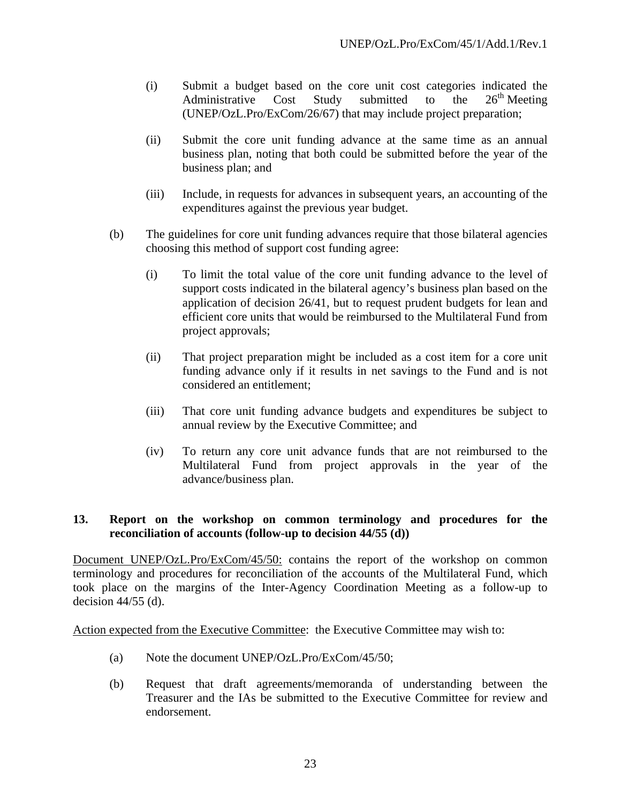- (i) Submit a budget based on the core unit cost categories indicated the Administrative Cost Study submitted to the  $26<sup>th</sup>$  Meeting (UNEP/OzL.Pro/ExCom/26/67) that may include project preparation;
- (ii) Submit the core unit funding advance at the same time as an annual business plan, noting that both could be submitted before the year of the business plan; and
- (iii) Include, in requests for advances in subsequent years, an accounting of the expenditures against the previous year budget.
- (b) The guidelines for core unit funding advances require that those bilateral agencies choosing this method of support cost funding agree:
	- (i) To limit the total value of the core unit funding advance to the level of support costs indicated in the bilateral agency's business plan based on the application of decision 26/41, but to request prudent budgets for lean and efficient core units that would be reimbursed to the Multilateral Fund from project approvals;
	- (ii) That project preparation might be included as a cost item for a core unit funding advance only if it results in net savings to the Fund and is not considered an entitlement;
	- (iii) That core unit funding advance budgets and expenditures be subject to annual review by the Executive Committee; and
	- (iv) To return any core unit advance funds that are not reimbursed to the Multilateral Fund from project approvals in the year of the advance/business plan.

#### **13. Report on the workshop on common terminology and procedures for the reconciliation of accounts (follow-up to decision 44/55 (d))**

Document UNEP/OzL.Pro/ExCom/45/50: contains the report of the workshop on common terminology and procedures for reconciliation of the accounts of the Multilateral Fund, which took place on the margins of the Inter-Agency Coordination Meeting as a follow-up to decision 44/55 (d).

Action expected from the Executive Committee: the Executive Committee may wish to:

- (a) Note the document UNEP/OzL.Pro/ExCom/45/50;
- (b) Request that draft agreements/memoranda of understanding between the Treasurer and the IAs be submitted to the Executive Committee for review and endorsement.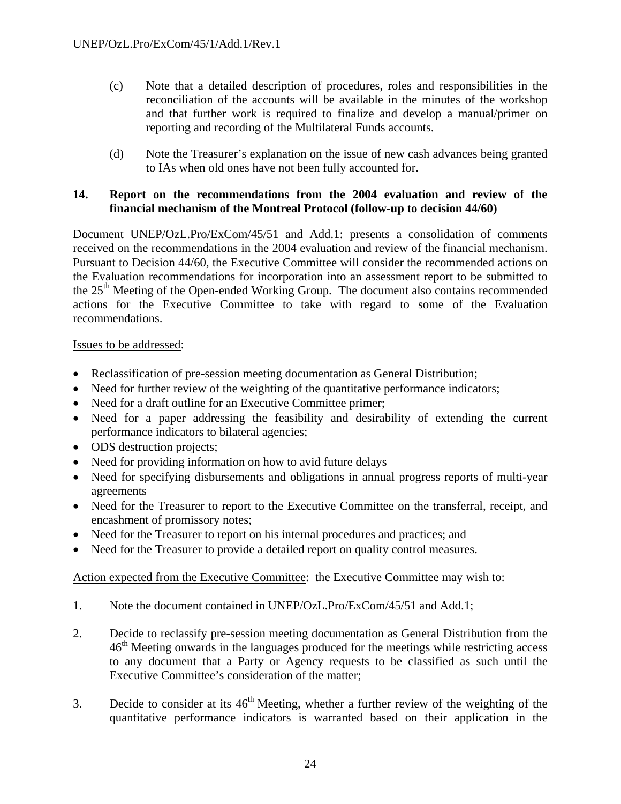- (c) Note that a detailed description of procedures, roles and responsibilities in the reconciliation of the accounts will be available in the minutes of the workshop and that further work is required to finalize and develop a manual/primer on reporting and recording of the Multilateral Funds accounts.
- (d) Note the Treasurer's explanation on the issue of new cash advances being granted to IAs when old ones have not been fully accounted for.

#### **14. Report on the recommendations from the 2004 evaluation and review of the financial mechanism of the Montreal Protocol (follow-up to decision 44/60)**

Document UNEP/OzL.Pro/ExCom/45/51 and Add.1: presents a consolidation of comments received on the recommendations in the 2004 evaluation and review of the financial mechanism. Pursuant to Decision 44/60, the Executive Committee will consider the recommended actions on the Evaluation recommendations for incorporation into an assessment report to be submitted to the 25<sup>th</sup> Meeting of the Open-ended Working Group. The document also contains recommended actions for the Executive Committee to take with regard to some of the Evaluation recommendations.

Issues to be addressed:

- Reclassification of pre-session meeting documentation as General Distribution;
- Need for further review of the weighting of the quantitative performance indicators;
- Need for a draft outline for an Executive Committee primer;
- Need for a paper addressing the feasibility and desirability of extending the current performance indicators to bilateral agencies;
- ODS destruction projects;
- Need for providing information on how to avid future delays
- Need for specifying disbursements and obligations in annual progress reports of multi-year agreements
- Need for the Treasurer to report to the Executive Committee on the transferral, receipt, and encashment of promissory notes;
- Need for the Treasurer to report on his internal procedures and practices; and
- Need for the Treasurer to provide a detailed report on quality control measures.

Action expected from the Executive Committee: the Executive Committee may wish to:

- 1. Note the document contained in UNEP/OzL.Pro/ExCom/45/51 and Add.1;
- 2. Decide to reclassify pre-session meeting documentation as General Distribution from the 46<sup>th</sup> Meeting onwards in the languages produced for the meetings while restricting access to any document that a Party or Agency requests to be classified as such until the Executive Committee's consideration of the matter;
- 3. Decide to consider at its  $46<sup>th</sup>$  Meeting, whether a further review of the weighting of the quantitative performance indicators is warranted based on their application in the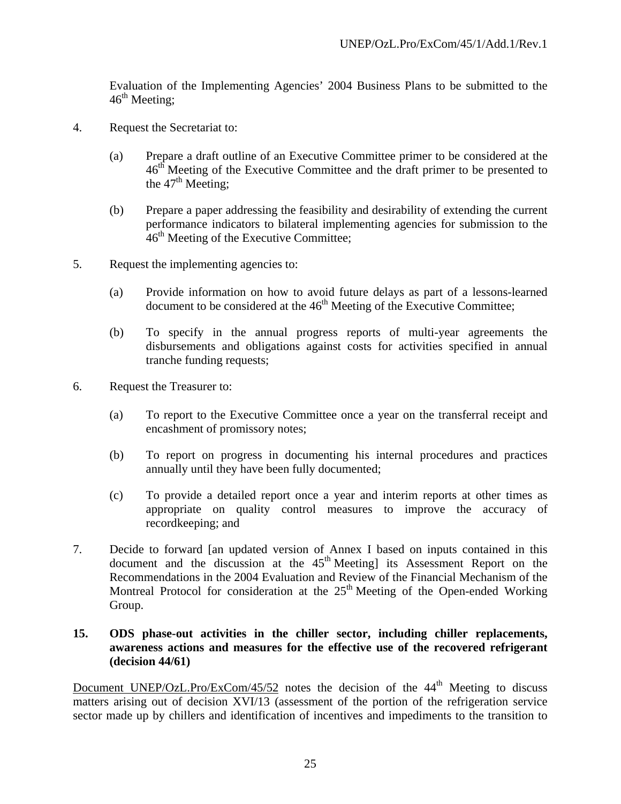Evaluation of the Implementing Agencies' 2004 Business Plans to be submitted to the  $46<sup>th</sup>$  Meeting;

- 4. Request the Secretariat to:
	- (a) Prepare a draft outline of an Executive Committee primer to be considered at the  $46<sup>th</sup>$  Meeting of the Executive Committee and the draft primer to be presented to the  $47<sup>th</sup>$  Meeting;
	- (b) Prepare a paper addressing the feasibility and desirability of extending the current performance indicators to bilateral implementing agencies for submission to the  $46<sup>th</sup>$  Meeting of the Executive Committee;
- 5. Request the implementing agencies to:
	- (a) Provide information on how to avoid future delays as part of a lessons-learned document to be considered at the  $46<sup>th</sup>$  Meeting of the Executive Committee;
	- (b) To specify in the annual progress reports of multi-year agreements the disbursements and obligations against costs for activities specified in annual tranche funding requests;
- 6. Request the Treasurer to:
	- (a) To report to the Executive Committee once a year on the transferral receipt and encashment of promissory notes;
	- (b) To report on progress in documenting his internal procedures and practices annually until they have been fully documented;
	- (c) To provide a detailed report once a year and interim reports at other times as appropriate on quality control measures to improve the accuracy of recordkeeping; and
- 7. Decide to forward [an updated version of Annex I based on inputs contained in this document and the discussion at the  $45<sup>th</sup>$  Meeting] its Assessment Report on the Recommendations in the 2004 Evaluation and Review of the Financial Mechanism of the Montreal Protocol for consideration at the  $25<sup>th</sup>$  Meeting of the Open-ended Working Group.

#### **15. ODS phase-out activities in the chiller sector, including chiller replacements, awareness actions and measures for the effective use of the recovered refrigerant (decision 44/61)**

Document UNEP/OzL.Pro/ExCom/45/52 notes the decision of the  $44<sup>th</sup>$  Meeting to discuss matters arising out of decision XVI/13 (assessment of the portion of the refrigeration service sector made up by chillers and identification of incentives and impediments to the transition to